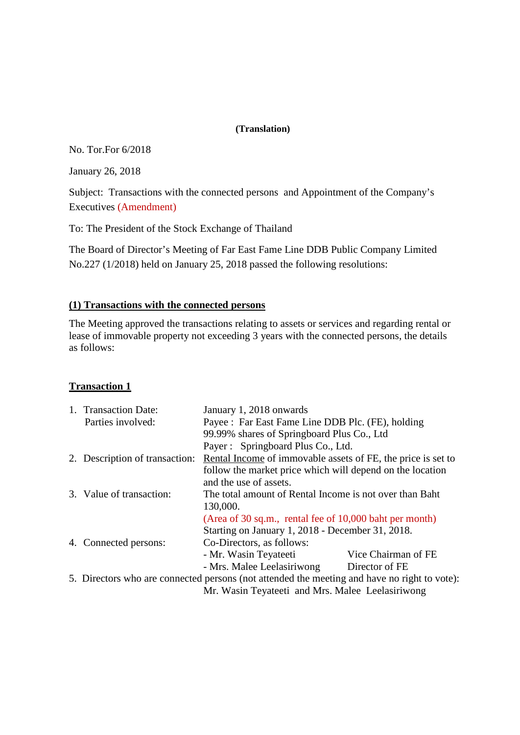#### **(Translation)**

No. Tor.For 6/2018

January 26, 2018

Subject: Transactions with the connected persons and Appointment of the Company's Executives (Amendment)

To: The President of the Stock Exchange of Thailand

The Board of Director's Meeting of Far East Fame Line DDB Public Company Limited No.227 (1/2018) held on January 25, 2018 passed the following resolutions:

## **(1) Transactions with the connected persons**

The Meeting approved the transactions relating to assets or services and regarding rental or lease of immovable property not exceeding 3 years with the connected persons, the details as follows:

## **Transaction 1**

|                                                                                              | 1. Transaction Date:           | January 1, 2018 onwards                                      |                     |
|----------------------------------------------------------------------------------------------|--------------------------------|--------------------------------------------------------------|---------------------|
|                                                                                              | Parties involved:              | Payee : Far East Fame Line DDB Plc. (FE), holding            |                     |
|                                                                                              |                                | 99.99% shares of Springboard Plus Co., Ltd                   |                     |
|                                                                                              |                                | Payer: Springboard Plus Co., Ltd.                            |                     |
|                                                                                              | 2. Description of transaction: | Rental Income of immovable assets of FE, the price is set to |                     |
|                                                                                              |                                | follow the market price which will depend on the location    |                     |
|                                                                                              |                                | and the use of assets.                                       |                     |
|                                                                                              | 3. Value of transaction:       | The total amount of Rental Income is not over than Baht      |                     |
|                                                                                              |                                | 130,000.                                                     |                     |
|                                                                                              |                                | (Area of 30 sq.m., rental fee of 10,000 baht per month)      |                     |
|                                                                                              |                                | Starting on January 1, 2018 - December 31, 2018.             |                     |
|                                                                                              | 4. Connected persons:          | Co-Directors, as follows:                                    |                     |
|                                                                                              |                                | - Mr. Wasin Teyateeti                                        | Vice Chairman of FE |
|                                                                                              |                                | - Mrs. Malee Leelasiriwong                                   | Director of FE      |
| 5. Directors who are connected persons (not attended the meeting and have no right to vote): |                                |                                                              |                     |
|                                                                                              |                                | Mr. Wasin Teyateeti and Mrs. Malee Leelasiriwong             |                     |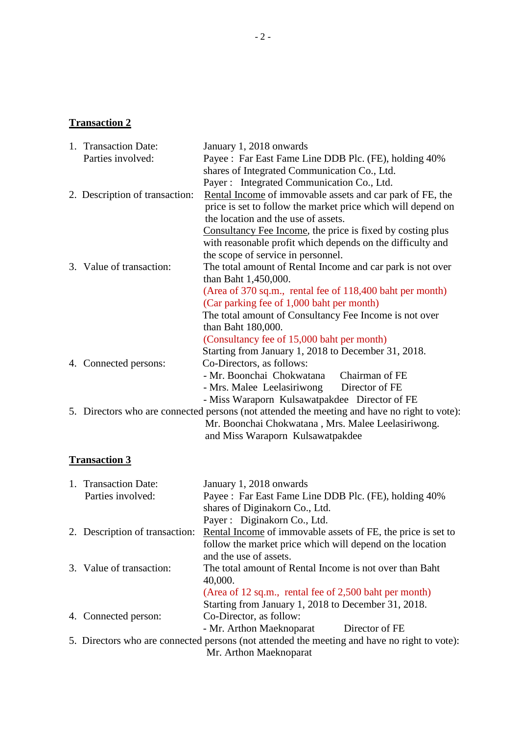# **Transaction 2**

|  | 1. Transaction Date:           | January 1, 2018 onwards                                                                      |  |
|--|--------------------------------|----------------------------------------------------------------------------------------------|--|
|  | Parties involved:              | Payee : Far East Fame Line DDB Plc. (FE), holding 40%                                        |  |
|  |                                | shares of Integrated Communication Co., Ltd.                                                 |  |
|  |                                | Payer : Integrated Communication Co., Ltd.                                                   |  |
|  | 2. Description of transaction: | Rental Income of immovable assets and car park of FE, the                                    |  |
|  |                                | price is set to follow the market price which will depend on                                 |  |
|  |                                | the location and the use of assets.                                                          |  |
|  |                                | Consultancy Fee Income, the price is fixed by costing plus                                   |  |
|  |                                | with reasonable profit which depends on the difficulty and                                   |  |
|  |                                | the scope of service in personnel.                                                           |  |
|  | 3. Value of transaction:       | The total amount of Rental Income and car park is not over                                   |  |
|  |                                | than Baht 1,450,000.                                                                         |  |
|  |                                | (Area of 370 sq.m., rental fee of 118,400 baht per month)                                    |  |
|  |                                | (Car parking fee of 1,000 baht per month)                                                    |  |
|  |                                | The total amount of Consultancy Fee Income is not over                                       |  |
|  |                                | than Baht 180,000.                                                                           |  |
|  |                                | (Consultancy fee of 15,000 baht per month)                                                   |  |
|  |                                | Starting from January 1, 2018 to December 31, 2018.                                          |  |
|  | 4. Connected persons:          | Co-Directors, as follows:                                                                    |  |
|  |                                | - Mr. Boonchai Chokwatana<br>Chairman of FE                                                  |  |
|  |                                | - Mrs. Malee Leelasiriwong Director of FE                                                    |  |
|  |                                | - Miss Waraporn Kulsawatpakdee Director of FE                                                |  |
|  |                                | 5. Directors who are connected persons (not attended the meeting and have no right to vote): |  |
|  |                                | Mr. Boonchai Chokwatana, Mrs. Malee Leelasiriwong.                                           |  |
|  |                                | and Miss Waraporn Kulsawatpakdee                                                             |  |

# **Transaction 3**

| 1. Transaction Date:                                                                         | January 1, 2018 onwards                                      |  |
|----------------------------------------------------------------------------------------------|--------------------------------------------------------------|--|
| Parties involved:                                                                            | Payee : Far East Fame Line DDB Plc. (FE), holding 40%        |  |
|                                                                                              | shares of Diginakorn Co., Ltd.                               |  |
|                                                                                              | Payer: Diginakorn Co., Ltd.                                  |  |
| 2. Description of transaction:                                                               | Rental Income of immovable assets of FE, the price is set to |  |
|                                                                                              | follow the market price which will depend on the location    |  |
|                                                                                              | and the use of assets.                                       |  |
| 3. Value of transaction:                                                                     | The total amount of Rental Income is not over than Baht      |  |
|                                                                                              | 40,000.                                                      |  |
|                                                                                              | (Area of 12 sq.m., rental fee of 2,500 baht per month)       |  |
|                                                                                              | Starting from January 1, 2018 to December 31, 2018.          |  |
| 4. Connected person:                                                                         | Co-Director, as follow:                                      |  |
|                                                                                              | - Mr. Arthon Maeknoparat<br>Director of FE                   |  |
| 5. Directors who are connected persons (not attended the meeting and have no right to vote): |                                                              |  |
|                                                                                              | Mr. Arthon Maeknoparat                                       |  |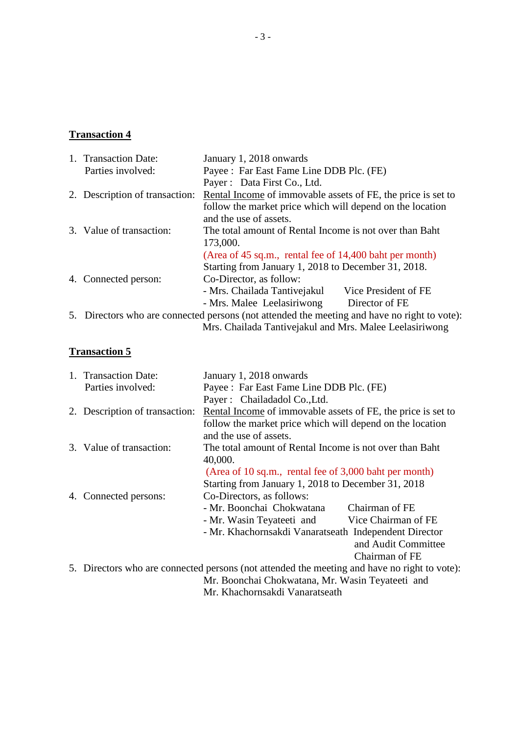#### **Transaction 4**

1. Transaction Date: January 1, 2018 onwards Parties involved: Payee : Far East Fame Line DDB Plc. (FE) Payer : Data First Co., Ltd. 2. Description of transaction: Rental Income of immovable assets of FE, the price is set to follow the market price which will depend on the location and the use of assets. 3. Value of transaction: The total amount of Rental Income is not over than Baht 173,000. (Area of 45 sq.m., rental fee of 14,400 baht per month) Starting from January 1, 2018 to December 31, 2018. 4. Connected person: - Mrs. Chailada Tantivejakul Vice President of FE - Mrs. Malee Leelasiriwong Director of FE 5. Directors who are connected persons (not attended the meeting and have no right to vote): Mrs. Chailada Tantivejakul and Mrs. Malee Leelasiriwong

## **Transaction 5**

|  | 1. Transaction Date:                                                                | January 1, 2018 onwards                                                                      |                     |
|--|-------------------------------------------------------------------------------------|----------------------------------------------------------------------------------------------|---------------------|
|  | Parties involved:                                                                   | Payee : Far East Fame Line DDB Plc. (FE)                                                     |                     |
|  |                                                                                     | Payer: Chailadadol Co., Ltd.                                                                 |                     |
|  | 2. Description of transaction:                                                      | Rental Income of immovable assets of FE, the price is set to                                 |                     |
|  |                                                                                     | follow the market price which will depend on the location                                    |                     |
|  |                                                                                     | and the use of assets.                                                                       |                     |
|  | 3. Value of transaction:<br>The total amount of Rental Income is not over than Baht |                                                                                              |                     |
|  |                                                                                     | 40,000.                                                                                      |                     |
|  |                                                                                     | (Area of 10 sq.m., rental fee of 3,000 baht per month)                                       |                     |
|  |                                                                                     | Starting from January 1, 2018 to December 31, 2018                                           |                     |
|  | 4. Connected persons:                                                               | Co-Directors, as follows:                                                                    |                     |
|  |                                                                                     | - Mr. Boonchai Chokwatana                                                                    | Chairman of FE      |
|  |                                                                                     | - Mr. Wasin Teyateeti and                                                                    | Vice Chairman of FE |
|  |                                                                                     | - Mr. Khachornsakdi Vanaratseath Independent Director                                        |                     |
|  |                                                                                     |                                                                                              | and Audit Committee |
|  |                                                                                     |                                                                                              | Chairman of FE      |
|  |                                                                                     | 5. Directors who are connected persons (not attended the meeting and have no right to vote): |                     |
|  |                                                                                     | Mr. Boonchai Chokwatana, Mr. Wasin Teyateeti and                                             |                     |
|  |                                                                                     | Mr. Khachornsakdi Vanaratseath                                                               |                     |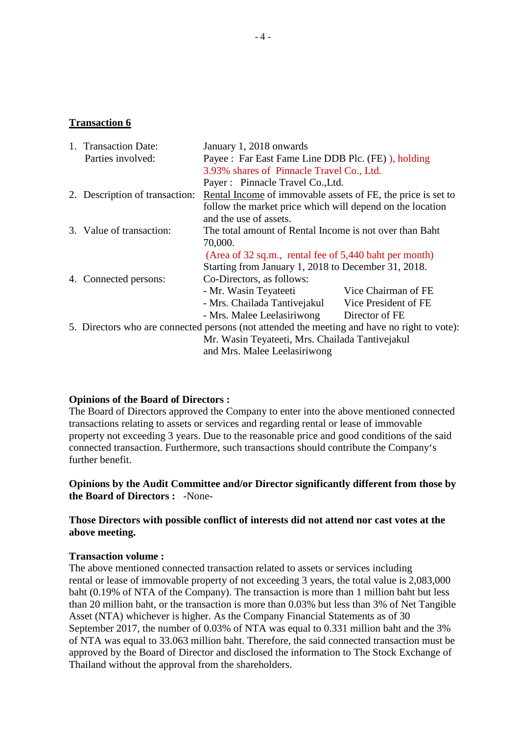#### **Transaction 6**

| 1. Transaction Date:           | January 1, 2018 onwards                                                                      |                      |
|--------------------------------|----------------------------------------------------------------------------------------------|----------------------|
| Parties involved:              | Payee : Far East Fame Line DDB Plc. (FE) ), holding                                          |                      |
|                                | 3.93% shares of Pinnacle Travel Co., Ltd.                                                    |                      |
|                                | Payer : Pinnacle Travel Co., Ltd.                                                            |                      |
| 2. Description of transaction: | Rental Income of immovable assets of FE, the price is set to                                 |                      |
|                                | follow the market price which will depend on the location                                    |                      |
|                                | and the use of assets.                                                                       |                      |
| 3. Value of transaction:       | The total amount of Rental Income is not over than Baht                                      |                      |
|                                | 70,000.                                                                                      |                      |
|                                | (Area of 32 sq.m., rental fee of 5,440 baht per month)                                       |                      |
|                                | Starting from January 1, 2018 to December 31, 2018.                                          |                      |
| 4. Connected persons:          | Co-Directors, as follows:                                                                    |                      |
|                                | - Mr. Wasin Teyateeti                                                                        | Vice Chairman of FE  |
|                                | - Mrs. Chailada Tantivejakul                                                                 | Vice President of FE |
|                                | - Mrs. Malee Leelasiriwong                                                                   | Director of FE       |
|                                | 5. Directors who are connected persons (not attended the meeting and have no right to vote): |                      |
|                                | Mr. Wasin Teyateeti, Mrs. Chailada Tantivejakul                                              |                      |
|                                | and Mrs. Malee Leelasiriwong                                                                 |                      |

#### **Opinions of the Board of Directors :**

The Board of Directors approved the Company to enter into the above mentioned connected transactions relating to assets or services and regarding rental or lease of immovable property not exceeding 3 years. Due to the reasonable price and good conditions of the said connected transaction. Furthermore, such transactions should contribute the Company's further benefit.

## **Opinions by the Audit Committee and/or Director significantly different from those by the Board of Directors :** -None-

## **Those Directors with possible conflict of interests did not attend nor cast votes at the above meeting.**

#### **Transaction volume :**

The above mentioned connected transaction related to assets or services including rental or lease of immovable property of not exceeding 3 years, the total value is 2,083,000 baht (0.19% of NTA of the Company). The transaction is more than 1 million baht but less than 20 million baht, or the transaction is more than 0.03% but less than 3% of Net Tangible Asset (NTA) whichever is higher. As the Company Financial Statements as of 30 September 2017, the number of 0.03% of NTA was equal to 0.331 million baht and the 3% of NTA was equal to 33.063 million baht. Therefore, the said connected transaction must be approved by the Board of Director and disclosed the information to The Stock Exchange of Thailand without the approval from the shareholders.